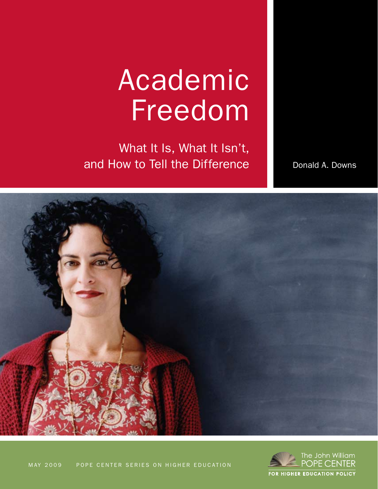## Academic Freedom

What It Is, What It Isn't, and How to Tell the Difference

Donald A. Downs



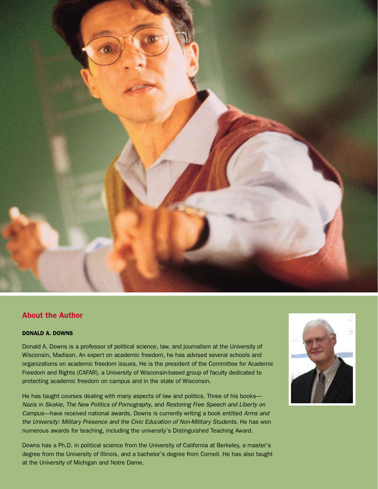

#### About the Author

#### Donald A. Downs

Donald A. Downs is a professor of political science, law, and journalism at the University of Wisconsin, Madison. An expert on academic freedom, he has advised several schools and organizations on academic freedom issues. He is the president of the Committee for Academic Freedom and Rights (CAFAR), a University of Wisconsin-based group of faculty dedicated to protecting academic freedom on campus and in the state of Wisconsin.

He has taught courses dealing with many aspects of law and politics. Three of his books-*Nazis in Skokie*, *The New Politics of Pornography*, and *Restoring Free Speech and Liberty on Campus*—have received national awards. Downs is currently writing a book entitled *Arms and the University: Military Presence and the Civic Education of Non-Military Students*. He has won numerous awards for teaching, including the university's Distinguished Teaching Award.

Downs has a Ph.D. in political science from the University of California at Berkeley, a master's degree from the University of Illinois, and a bachelor's degree from Cornell. He has also taught at the University of Michigan and Notre Dame.

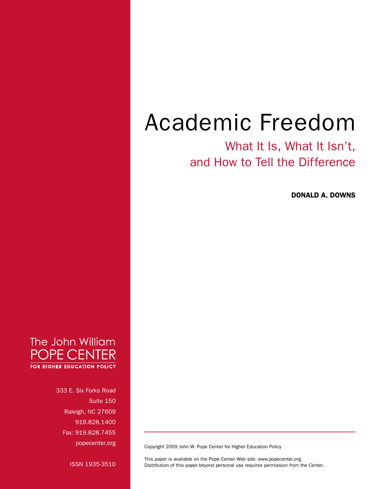## Academic Freedom

### What It Is, What It Isn't, and How to Tell the Difference

Donald A. Downs



333 E. Six Forks Road Suite 150 Raleigh, NC 27609 919.828.1400 Fax: 919.828.7455 popecenter.org

Copyright 2009 John W. Pope Center for Higher Education Policy

ISSN 1935-3510

This paper is available on the Pope Center Web site: www.popecenter.org. Distribution of this paper beyond personal use requires permission from the Center.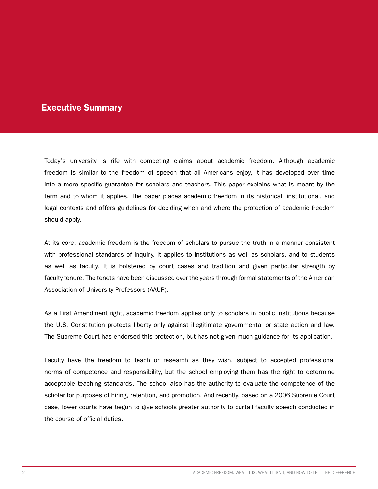#### Executive Summary

Today's university is rife with competing claims about academic freedom. Although academic freedom is similar to the freedom of speech that all Americans enjoy, it has developed over time into a more specific guarantee for scholars and teachers. This paper explains what is meant by the term and to whom it applies. The paper places academic freedom in its historical, institutional, and legal contexts and offers guidelines for deciding when and where the protection of academic freedom should apply.

At its core, academic freedom is the freedom of scholars to pursue the truth in a manner consistent with professional standards of inquiry. It applies to institutions as well as scholars, and to students as well as faculty. It is bolstered by court cases and tradition and given particular strength by faculty tenure. The tenets have been discussed over the years through formal statements of the American Association of University Professors (AAUP).

As a First Amendment right, academic freedom applies only to scholars in public institutions because the U.S. Constitution protects liberty only against illegitimate governmental or state action and law. The Supreme Court has endorsed this protection, but has not given much guidance for its application.

Faculty have the freedom to teach or research as they wish, subject to accepted professional norms of competence and responsibility, but the school employing them has the right to determine acceptable teaching standards. The school also has the authority to evaluate the competence of the scholar for purposes of hiring, retention, and promotion. And recently, based on a 2006 Supreme Court case, lower courts have begun to give schools greater authority to curtail faculty speech conducted in the course of official duties.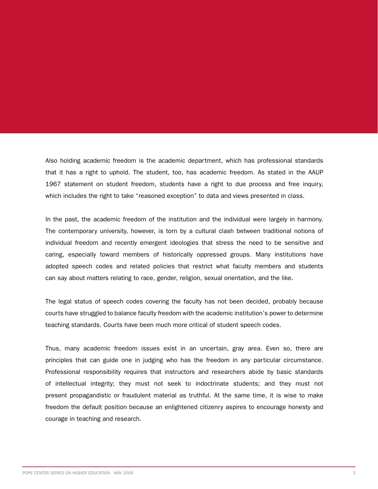Also holding academic freedom is the academic department, which has professional standards that it has a right to uphold. The student, too, has academic freedom. As stated in the AAUP 1967 statement on student freedom, students have a right to due process and free inquiry, which includes the right to take "reasoned exception" to data and views presented in class.

In the past, the academic freedom of the institution and the individual were largely in harmony. The contemporary university, however, is torn by a cultural clash between traditional notions of individual freedom and recently emergent ideologies that stress the need to be sensitive and caring, especially toward members of historically oppressed groups. Many institutions have adopted speech codes and related policies that restrict what faculty members and students can say about matters relating to race, gender, religion, sexual orientation, and the like.

The legal status of speech codes covering the faculty has not been decided, probably because courts have struggled to balance faculty freedom with the academic institution's power to determine teaching standards. Courts have been much more critical of student speech codes.

Thus, many academic freedom issues exist in an uncertain, gray area. Even so, there are principles that can guide one in judging who has the freedom in any particular circumstance. Professional responsibility requires that instructors and researchers abide by basic standards of intellectual integrity; they must not seek to indoctrinate students; and they must not present propagandistic or fraudulent material as truthful. At the same time, it is wise to make freedom the default position because an enlightened citizenry aspires to encourage honesty and courage in teaching and research.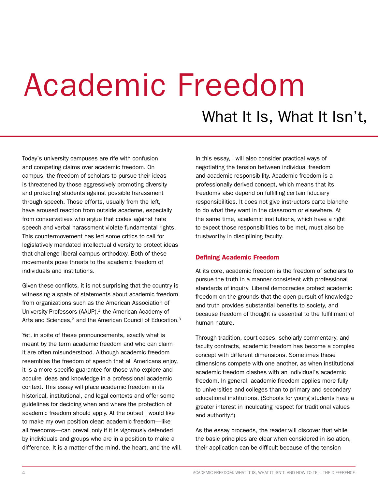# Academic Freedom

What It Is, What It Isn't,

Today's university campuses are rife with confusion and competing claims over academic freedom. On campus, the freedom of scholars to pursue their ideas is threatened by those aggressively promoting diversity and protecting students against possible harassment through speech. Those efforts, usually from the left, have aroused reaction from outside academe, especially from conservatives who argue that codes against hate speech and verbal harassment violate fundamental rights. This countermovement has led some critics to call for legislatively mandated intellectual diversity to protect ideas that challenge liberal campus orthodoxy. Both of these movements pose threats to the academic freedom of individuals and institutions.

Given these conflicts, it is not surprising that the country is witnessing a spate of statements about academic freedom from organizations such as the American Association of University Professors (AAUP), $1$  the American Academy of Arts and Sciences,<sup>2</sup> and the American Council of Education.<sup>3</sup>

Yet, in spite of these pronouncements, exactly what is meant by the term academic freedom and who can claim it are often misunderstood. Although academic freedom resembles the freedom of speech that all Americans enjoy, it is a more specific guarantee for those who explore and acquire ideas and knowledge in a professional academic context. This essay will place academic freedom in its historical, institutional, and legal contexts and offer some guidelines for deciding when and where the protection of academic freedom should apply. At the outset I would like to make my own position clear: academic freedom—like all freedoms—can prevail only if it is vigorously defended by individuals and groups who are in a position to make a difference. It is a matter of the mind, the heart, and the will. In this essay, I will also consider practical ways of negotiating the tension between individual freedom and academic responsibility. Academic freedom is a professionally derived concept, which means that its freedoms also depend on fulfilling certain fiduciary responsibilities. It does not give instructors carte blanche to do what they want in the classroom or elsewhere. At the same time, academic institutions, which have a right to expect those responsibilities to be met, must also be trustworthy in disciplining faculty.

#### Defining Academic Freedom

At its core, academic freedom is the freedom of scholars to pursue the truth in a manner consistent with professional standards of inquiry. Liberal democracies protect academic freedom on the grounds that the open pursuit of knowledge and truth provides substantial benefits to society, and because freedom of thought is essential to the fulfillment of human nature.

Through tradition, court cases, scholarly commentary, and faculty contracts, academic freedom has become a complex concept with different dimensions. Sometimes these dimensions compete with one another, as when institutional academic freedom clashes with an individual's academic freedom. In general, academic freedom applies more fully to universities and colleges than to primary and secondary educational institutions. (Schools for young students have a greater interest in inculcating respect for traditional values and authority. $4$ )

As the essay proceeds, the reader will discover that while the basic principles are clear when considered in isolation, their application can be difficult because of the tension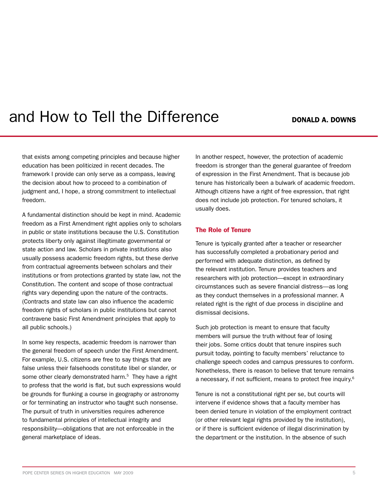### and How to Tell the Difference **Donald A. Downs**

that exists among competing principles and because higher education has been politicized in recent decades. The framework I provide can only serve as a compass, leaving the decision about how to proceed to a combination of judgment and, I hope, a strong commitment to intellectual freedom.

A fundamental distinction should be kept in mind. Academic freedom as a First Amendment right applies only to scholars in public or state institutions because the U.S. Constitution protects liberty only against illegitimate governmental or state action and law. Scholars in private institutions also usually possess academic freedom rights, but these derive from contractual agreements between scholars and their institutions or from protections granted by state law, not the Constitution. The content and scope of those contractual rights vary depending upon the nature of the contracts. (Contracts and state law can also influence the academic freedom rights of scholars in public institutions but cannot contravene basic First Amendment principles that apply to all public schools.)

In some key respects, academic freedom is narrower than the general freedom of speech under the First Amendment. For example, U.S. citizens are free to say things that are false unless their falsehoods constitute libel or slander, or some other clearly demonstrated harm.<sup>5</sup> They have a right to profess that the world is flat, but such expressions would be grounds for flunking a course in geography or astronomy or for terminating an instructor who taught such nonsense. The pursuit of truth in universities requires adherence to fundamental principles of intellectual integrity and responsibility—obligations that are not enforceable in the general marketplace of ideas.

In another respect, however, the protection of academic freedom is stronger than the general guarantee of freedom of expression in the First Amendment. That is because job tenure has historically been a bulwark of academic freedom. Although citizens have a right of free expression, that right does not include job protection. For tenured scholars, it usually does.

#### The Role of Tenure

Tenure is typically granted after a teacher or researcher has successfully completed a probationary period and performed with adequate distinction, as defined by the relevant institution. Tenure provides teachers and researchers with job protection—except in extraordinary circumstances such as severe financial distress—as long as they conduct themselves in a professional manner. A related right is the right of due process in discipline and dismissal decisions.

Such job protection is meant to ensure that faculty members will pursue the truth without fear of losing their jobs. Some critics doubt that tenure inspires such pursuit today, pointing to faculty members' reluctance to challenge speech codes and campus pressures to conform. Nonetheless, there is reason to believe that tenure remains a necessary, if not sufficient, means to protect free inquiry.6

Tenure is not a constitutional right per se, but courts will intervene if evidence shows that a faculty member has been denied tenure in violation of the employment contract (or other relevant legal rights provided by the institution), or if there is sufficient evidence of illegal discrimination by the department or the institution. In the absence of such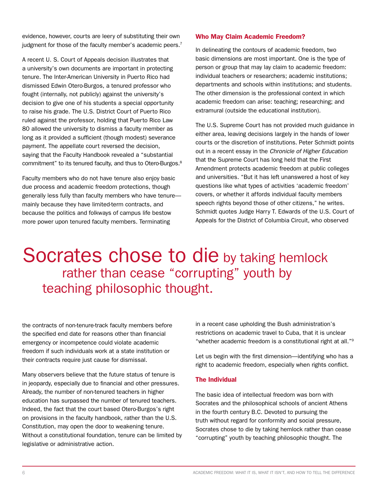evidence, however, courts are leery of substituting their own judgment for those of the faculty member's academic peers.<sup>7</sup>

A recent U. S. Court of Appeals decision illustrates that a university's own documents are important in protecting tenure. The Inter-American University in Puerto Rico had dismissed Edwin Otero-Burgos, a tenured professor who fought (internally, not publicly) against the university's decision to give one of his students a special opportunity to raise his grade. The U.S. District Court of Puerto Rico ruled against the professor, holding that Puerto Rico Law 80 allowed the university to dismiss a faculty member as long as it provided a sufficient (though modest) severance payment. The appellate court reversed the decision, saying that the Faculty Handbook revealed a "substantial commitment" to its tenured faculty, and thus to Otero-Burgos.<sup>8</sup>

Faculty members who do not have tenure also enjoy basic due process and academic freedom protections, though generally less fully than faculty members who have tenure mainly because they have limited-term contracts, and because the politics and folkways of campus life bestow more power upon tenured faculty members. Terminating

#### Who May Claim Academic Freedom?

In delineating the contours of academic freedom, two basic dimensions are most important. One is the type of person or group that may lay claim to academic freedom: individual teachers or researchers; academic institutions; departments and schools within institutions; and students. The other dimension is the professional context in which academic freedom can arise: teaching; researching; and extramural (outside the educational institution).

The U.S. Supreme Court has not provided much guidance in either area, leaving decisions largely in the hands of lower courts or the discretion of institutions. Peter Schmidt points out in a recent essay in the *Chronicle of Higher Education* that the Supreme Court has long held that the First Amendment protects academic freedom at public colleges and universities. "But it has left unanswered a host of key questions like what types of activities 'academic freedom' covers, or whether it affords individual faculty members speech rights beyond those of other citizens," he writes. Schmidt quotes Judge Harry T. Edwards of the U.S. Court of Appeals for the District of Columbia Circuit, who observed

## Socrates chose to die by taking hemlock rather than cease "corrupting" youth by teaching philosophic thought.

the contracts of non-tenure-track faculty members before the specified end date for reasons other than financial emergency or incompetence could violate academic freedom if such individuals work at a state institution or their contracts require just cause for dismissal.

Many observers believe that the future status of tenure is in jeopardy, especially due to financial and other pressures. Already, the number of non-tenured teachers in higher education has surpassed the number of tenured teachers. Indeed, the fact that the court based Otero-Burgos's right on provisions in the faculty handbook, rather than the U.S. Constitution, may open the door to weakening tenure. Without a constitutional foundation, tenure can be limited by legislative or administrative action.

in a recent case upholding the Bush administration's restrictions on academic travel to Cuba, that it is unclear "whether academic freedom is a constitutional right at all."9

Let us begin with the first dimension—identifying who has a right to academic freedom, especially when rights conflict.

#### The Individual

The basic idea of intellectual freedom was born with Socrates and the philosophical schools of ancient Athens in the fourth century B.C. Devoted to pursuing the truth without regard for conformity and social pressure, Socrates chose to die by taking hemlock rather than cease "corrupting" youth by teaching philosophic thought. The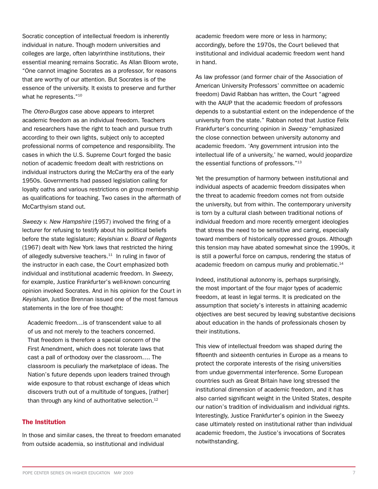Socratic conception of intellectual freedom is inherently individual in nature. Though modern universities and colleges are large, often labyrinthine institutions, their essential meaning remains Socratic. As Allan Bloom wrote, "One cannot imagine Socrates as a professor, for reasons that are worthy of our attention. But Socrates is of the essence of the university. It exists to preserve and further what he represents."<sup>10</sup>

The *Otero-Burgos* case above appears to interpret academic freedom as an individual freedom. Teachers and researchers have the right to teach and pursue truth according to their own lights, subject only to accepted professional norms of competence and responsibility. The cases in which the U.S. Supreme Court forged the basic notion of academic freedom dealt with restrictions on individual instructors during the McCarthy era of the early 1950s. Governments had passed legislation calling for loyalty oaths and various restrictions on group membership as qualifications for teaching. Two cases in the aftermath of McCarthyism stand out.

*Sweezy v. New Hampshire* (1957) involved the firing of a lecturer for refusing to testify about his political beliefs before the state legislature; *Keyishian v. Board of Regents* (1967) dealt with New York laws that restricted the hiring of allegedly subversive teachers.<sup>11</sup> In ruling in favor of the instructor in each case, the Court emphasized both individual and institutional academic freedom. In *Sweezy*, for example, Justice Frankfurter's well-known concurring opinion invoked Socrates. And in his opinion for the Court in *Keyishian*, Justice Brennan issued one of the most famous statements in the lore of free thought:

Academic freedom…is of transcendent value to all of us and not merely to the teachers concerned. That freedom is therefore a special concern of the First Amendment, which does not tolerate laws that cast a pall of orthodoxy over the classroom…. The classroom is peculiarly the marketplace of ideas. The Nation's future depends upon leaders trained through wide exposure to that robust exchange of ideas which discovers truth out of a multitude of tongues, [rather] than through any kind of authoritative selection.<sup>12</sup>

#### The Institution

In those and similar cases, the threat to freedom emanated from outside academia, so institutional and individual

academic freedom were more or less in harmony; accordingly, before the 1970s, the Court believed that institutional and individual academic freedom went hand in hand.

As law professor (and former chair of the Association of American University Professors' committee on academic freedom) David Rabban has written, the Court "agreed with the AAUP that the academic freedom of professors depends to a substantial extent on the independence of the university from the state." Rabban noted that Justice Felix Frankfurter's concurring opinion in *Sweezy* "emphasized the close connection between university autonomy and academic freedom. 'Any government intrusion into the intellectual life of a university,' he warned, would jeopardize the essential functions of professors."13

Yet the presumption of harmony between institutional and individual aspects of academic freedom dissipates when the threat to academic freedom comes not from outside the university, but from within. The contemporary university is torn by a cultural clash between traditional notions of individual freedom and more recently emergent ideologies that stress the need to be sensitive and caring, especially toward members of historically oppressed groups. Although this tension may have abated somewhat since the 1990s, it is still a powerful force on campus, rendering the status of academic freedom on campus murky and problematic.<sup>14</sup>

Indeed, institutional autonomy is, perhaps surprisingly, the most important of the four major types of academic freedom, at least in legal terms. It is predicated on the assumption that society's interests in attaining academic objectives are best secured by leaving substantive decisions about education in the hands of professionals chosen by their institutions.

This view of intellectual freedom was shaped during the fifteenth and sixteenth centuries in Europe as a means to protect the corporate interests of the rising universities from undue governmental interference. Some European countries such as Great Britain have long stressed the institutional dimension of academic freedom, and it has also carried significant weight in the United States, despite our nation's tradition of individualism and individual rights. Interestingly, Justice Frankfurter's opinion in the Sweezy case ultimately rested on institutional rather than individual academic freedom, the Justice's invocations of Socrates notwithstanding.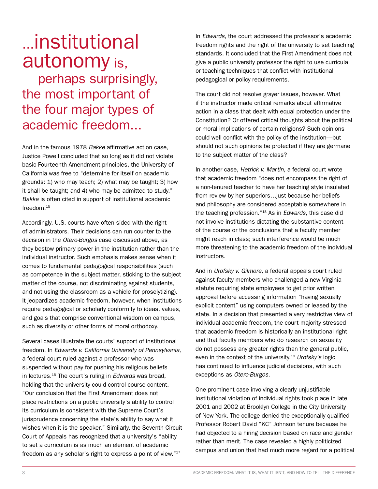## ...institutional autonomy is,

 perhaps surprisingly, the most important of the four major types of academic freedom...

And in the famous 1978 *Bakke* affirmative action case, Justice Powell concluded that so long as it did not violate basic Fourteenth Amendment principles, the University of California was free to "determine for itself on academic grounds: 1) who may teach; 2) what may be taught; 3) how it shall be taught; and 4) who may be admitted to study." *Bakke* is often cited in support of institutional academic freedom <sup>15</sup>

Accordingly, U.S. courts have often sided with the right of administrators. Their decisions can run counter to the decision in the *Otero-Burgos* case discussed above, as they bestow primary power in the institution rather than the individual instructor. Such emphasis makes sense when it comes to fundamental pedagogical responsibilities (such as competence in the subject matter, sticking to the subject matter of the course, not discriminating against students, and not using the classroom as a vehicle for proselytizing). It jeopardizes academic freedom, however, when institutions require pedagogical or scholarly conformity to ideas, values, and goals that comprise conventional wisdom on campus, such as diversity or other forms of moral orthodoxy.

Several cases illustrate the courts' support of institutional freedom. In *Edwards v. California University of Pennsylvania*, a federal court ruled against a professor who was suspended without pay for pushing his religious beliefs in lectures.16 The court's ruling in *Edwards* was broad, holding that the university could control course content. "Our conclusion that the First Amendment does not place restrictions on a public university's ability to control its curriculum is consistent with the Supreme Court's jurisprudence concerning the state's ability to say what it wishes when it is the speaker." Similarly, the Seventh Circuit Court of Appeals has recognized that a university's "ability to set a curriculum is as much an element of academic freedom as any scholar's right to express a point of view."17

In *Edwards*, the court addressed the professor's academic freedom rights and the right of the university to set teaching standards. It concluded that the First Amendment does not give a public university professor the right to use curricula or teaching techniques that conflict with institutional pedagogical or policy requirements.

The court did not resolve grayer issues, however. What if the instructor made critical remarks about affirmative action in a class that dealt with equal protection under the Constitution? Or offered critical thoughts about the political or moral implications of certain religions? Such opinions could well conflict with the policy of the institution—but should not such opinions be protected if they are germane to the subject matter of the class?

In another case, *Hetrick v. Martin*, a federal court wrote that academic freedom "does not encompass the right of a non-tenured teacher to have her teaching style insulated from review by her superiors…just because her beliefs and philosophy are considered acceptable somewhere in the teaching profession."18 As in *Edwards*, this case did not involve institutions dictating the substantive content of the course or the conclusions that a faculty member might reach in class; such interference would be much more threatening to the academic freedom of the individual instructors.

And in *Urofsky v. Gilmore*, a federal appeals court ruled against faculty members who challenged a new Virginia statute requiring state employees to get prior written approval before accessing information "having sexually explicit content" using computers owned or leased by the state. In a decision that presented a very restrictive view of individual academic freedom, the court majority stressed that academic freedom is historically an institutional right and that faculty members who do research on sexuality do not possess any greater rights than the general public, even in the context of the university.19 *Urofsky's* logic has continued to influence judicial decisions, with such exceptions as *Otero-Burgos*.

One prominent case involving a clearly unjustifiable institutional violation of individual rights took place in late 2001 and 2002 at Brooklyn College in the City University of New York. The college denied the exceptionally qualified Professor Robert David "KC" Johnson tenure because he had objected to a hiring decision based on race and gender rather than merit. The case revealed a highly politicized campus and union that had much more regard for a political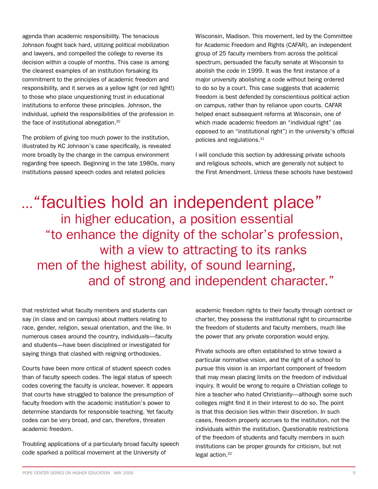agenda than academic responsibility. The tenacious Johnson fought back hard, utilizing political mobilization and lawyers, and compelled the college to reverse its decision within a couple of months. This case is among the clearest examples of an institution forsaking its commitment to the principles of academic freedom and responsibility, and it serves as a yellow light (or red light!) to those who place unquestioning trust in educational institutions to enforce these principles. Johnson, the individual, upheld the responsibilities of the profession in the face of institutional abnegation.<sup>20</sup>

The problem of giving too much power to the institution, illustrated by KC Johnson's case specifically, is revealed more broadly by the change in the campus environment regarding free speech. Beginning in the late 1980s, many institutions passed speech codes and related policies

Wisconsin, Madison. This movement, led by the Committee for Academic Freedom and Rights (CAFAR), an independent group of 25 faculty members from across the political spectrum, persuaded the faculty senate at Wisconsin to abolish the code in 1999. It was the first instance of a major university abolishing a code without being ordered to do so by a court. This case suggests that academic freedom is best defended by conscientious political action on campus, rather than by reliance upon courts. CAFAR helped enact subsequent reforms at Wisconsin, one of which made academic freedom an "individual right" (as opposed to an "institutional right") in the university's official policies and regulations.21

I will conclude this section by addressing private schools and religious schools, which are generally not subject to the First Amendment. Unless these schools have bestowed

..."faculties hold an independent place" in higher education, a position essential "to enhance the dignity of the scholar's profession, with a view to attracting to its ranks men of the highest ability, of sound learning, and of strong and independent character."

that restricted what faculty members and students can say (in class and on campus) about matters relating to race, gender, religion, sexual orientation, and the like. In numerous cases around the country, individuals—faculty and students—have been disciplined or investigated for saying things that clashed with reigning orthodoxies.

Courts have been more critical of student speech codes than of faculty speech codes. The legal status of speech codes covering the faculty is unclear, however. It appears that courts have struggled to balance the presumption of faculty freedom with the academic institution's power to determine standards for responsible teaching. Yet faculty codes can be very broad, and can, therefore, threaten academic freedom.

Troubling applications of a particularly broad faculty speech code sparked a political movement at the University of

academic freedom rights to their faculty through contract or charter, they possess the institutional right to circumscribe the freedom of students and faculty members, much like the power that any private corporation would enjoy.

Private schools are often established to strive toward a particular normative vision, and the right of a school to pursue this vision is an important component of freedom that may mean placing limits on the freedom of individual inquiry. It would be wrong to require a Christian college to hire a teacher who hated Christianity—although some such colleges might find it in their interest to do so. The point is that this decision lies within their discretion. In such cases, freedom properly accrues to the institution, not the individuals within the institution. Questionable restrictions of the freedom of students and faculty members in such institutions can be proper grounds for criticism, but not legal action.<sup>22</sup>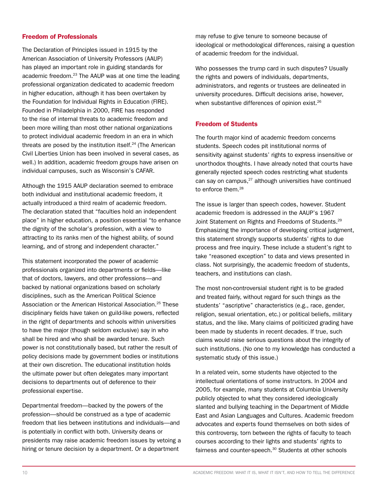#### Freedom of Professionals

The Declaration of Principles issued in 1915 by the American Association of University Professors (AAUP) has played an important role in guiding standards for academic freedom.23 The AAUP was at one time the leading professional organization dedicated to academic freedom in higher education, although it has been overtaken by the Foundation for Individual Rights in Education (FIRE). Founded in Philadelphia in 2000, FIRE has responded to the rise of internal threats to academic freedom and been more willing than most other national organizations to protect individual academic freedom in an era in which threats are posed by the institution itself.24 (The American Civil Liberties Union has been involved in several cases, as well.) In addition, academic freedom groups have arisen on individual campuses, such as Wisconsin's CAFAR.

Although the 1915 AAUP declaration seemed to embrace both individual and institutional academic freedom, it actually introduced a third realm of academic freedom. The declaration stated that "faculties hold an independent place" in higher education, a position essential "to enhance the dignity of the scholar's profession, with a view to attracting to its ranks men of the highest ability, of sound learning, and of strong and independent character."

This statement incorporated the power of academic professionals organized into departments or fields—like that of doctors, lawyers, and other professions—and backed by national organizations based on scholarly disciplines, such as the American Political Science Association or the American Historical Association.25 These disciplinary fields have taken on guild-like powers, reflected in the right of departments and schools within universities to have the major (though seldom exclusive) say in who shall be hired and who shall be awarded tenure. Such power is not constitutionally based, but rather the result of policy decisions made by government bodies or institutions at their own discretion. The educational institution holds the ultimate power but often delegates many important decisions to departments out of deference to their professional expertise.

Departmental freedom—backed by the powers of the profession—should be construed as a type of academic freedom that lies between institutions and individuals—and is potentially in conflict with both. University deans or presidents may raise academic freedom issues by vetoing a hiring or tenure decision by a department. Or a department

may refuse to give tenure to someone because of ideological or methodological differences, raising a question of academic freedom for the individual.

Who possesses the trump card in such disputes? Usually the rights and powers of individuals, departments, administrators, and regents or trustees are delineated in university procedures. Difficult decisions arise, however, when substantive differences of opinion exist.<sup>26</sup>

#### Freedom of Students

The fourth major kind of academic freedom concerns students. Speech codes pit institutional norms of sensitivity against students' rights to express insensitive or unorthodox thoughts. I have already noted that courts have generally rejected speech codes restricting what students can say on campus,<sup>27</sup> although universities have continued to enforce them.28

The issue is larger than speech codes, however. Student academic freedom is addressed in the AAUP's 1967 Joint Statement on Rights and Freedoms of Students.<sup>29</sup> Emphasizing the importance of developing critical judgment, this statement strongly supports students' rights to due process and free inquiry. These include a student's right to take "reasoned exception" to data and views presented in class. Not surprisingly, the academic freedom of students, teachers, and institutions can clash.

The most non-controversial student right is to be graded and treated fairly, without regard for such things as the students' "ascriptive" characteristics (e.g., race, gender, religion, sexual orientation, etc.) or political beliefs, military status, and the like. Many claims of politicized grading have been made by students in recent decades. If true, such claims would raise serious questions about the integrity of such institutions. (No one to my knowledge has conducted a systematic study of this issue.)

In a related vein, some students have objected to the intellectual orientations of some instructors. In 2004 and 2005, for example, many students at Columbia University publicly objected to what they considered ideologically slanted and bullying teaching in the Department of Middle East and Asian Languages and Cultures. Academic freedom advocates and experts found themselves on both sides of this controversy, torn between the rights of faculty to teach courses according to their lights and students' rights to fairness and counter-speech.<sup>30</sup> Students at other schools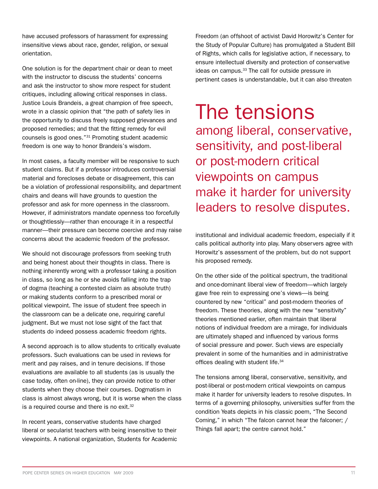have accused professors of harassment for expressing insensitive views about race, gender, religion, or sexual orientation.

One solution is for the department chair or dean to meet with the instructor to discuss the students' concerns and ask the instructor to show more respect for student critiques, including allowing critical responses in class. Justice Louis Brandeis, a great champion of free speech, wrote in a classic opinion that "the path of safety lies in the opportunity to discuss freely supposed grievances and proposed remedies; and that the fitting remedy for evil counsels is good ones."31 Promoting student academic freedom is one way to honor Brandeis's wisdom.

In most cases, a faculty member will be responsive to such student claims. But if a professor introduces controversial material and forecloses debate or disagreement, this can be a violation of professional responsibility, and department chairs and deans will have grounds to question the professor and ask for more openness in the classroom. However, if administrators mandate openness too forcefully or thoughtlessly—rather than encourage it in a respectful manner—their pressure can become coercive and may raise concerns about the academic freedom of the professor.

We should not discourage professors from seeking truth and being honest about their thoughts in class. There is nothing inherently wrong with a professor taking a position in class, so long as he or she avoids falling into the trap of dogma (teaching a contested claim as absolute truth) or making students conform to a prescribed moral or political viewpoint. The issue of student free speech in the classroom can be a delicate one, requiring careful judgment. But we must not lose sight of the fact that students do indeed possess academic freedom rights.

A second approach is to allow students to critically evaluate professors. Such evaluations can be used in reviews for merit and pay raises, and in tenure decisions. If those evaluations are available to all students (as is usually the case today, often on-line), they can provide notice to other students when they choose their courses. Dogmatism in class is almost always wrong, but it is worse when the class is a required course and there is no exit.<sup>32</sup>

In recent years, conservative students have charged liberal or secularist teachers with being insensitive to their viewpoints. A national organization, Students for Academic Freedom (an offshoot of activist David Horowitz's Center for the Study of Popular Culture) has promulgated a Student Bill of Rights, which calls for legislative action, if necessary, to ensure intellectual diversity and protection of conservative ideas on campus.<sup>33</sup> The call for outside pressure in pertinent cases is understandable, but it can also threaten

The tensions among liberal, conservative, sensitivity, and post-liberal or post-modern critical viewpoints on campus make it harder for university leaders to resolve disputes.

institutional and individual academic freedom, especially if it calls political authority into play. Many observers agree with Horowitz's assessment of the problem, but do not support his proposed remedy.

On the other side of the political spectrum, the traditional and once-dominant liberal view of freedom—which largely gave free rein to expressing one's views—is being countered by new "critical" and post-modern theories of freedom. These theories, along with the new "sensitivity" theories mentioned earlier, often maintain that liberal notions of individual freedom are a mirage, for individuals are ultimately shaped and influenced by various forms of social pressure and power. Such views are especially prevalent in some of the humanities and in administrative offices dealing with student life.<sup>34</sup>

The tensions among liberal, conservative, sensitivity, and post-liberal or post-modern critical viewpoints on campus make it harder for university leaders to resolve disputes. In terms of a governing philosophy, universities suffer from the condition Yeats depicts in his classic poem, "The Second Coming," in which "The falcon cannot hear the falconer; / Things fall apart; the centre cannot hold."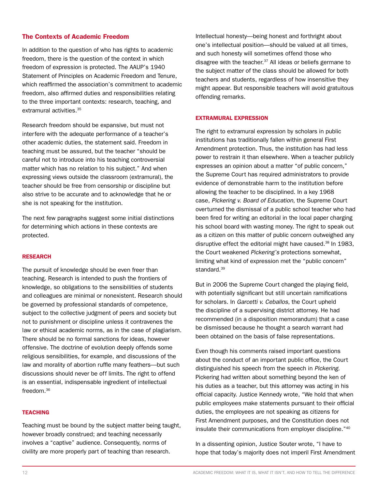#### The Contexts of Academic Freedom

In addition to the question of who has rights to academic freedom, there is the question of the context in which freedom of expression is protected. The AAUP's 1940 Statement of Principles on Academic Freedom and Tenure, which reaffirmed the association's commitment to academic freedom, also affirmed duties and responsibilities relating to the three important contexts: research, teaching, and extramural activities.35

Research freedom should be expansive, but must not interfere with the adequate performance of a teacher's other academic duties, the statement said. Freedom in teaching must be assured, but the teacher "should be careful not to introduce into his teaching controversial matter which has no relation to his subject." And when expressing views outside the classroom (extramural), the teacher should be free from censorship or discipline but also strive to be accurate and to acknowledge that he or she is not speaking for the institution.

The next few paragraphs suggest some initial distinctions for determining which actions in these contexts are protected.

#### RESEARCH

The pursuit of knowledge should be even freer than teaching. Research is intended to push the frontiers of knowledge, so obligations to the sensibilities of students and colleagues are minimal or nonexistent. Research should be governed by professional standards of competence, subject to the collective judgment of peers and society but not to punishment or discipline unless it contravenes the law or ethical academic norms, as in the case of plagiarism. There should be no formal sanctions for ideas, however offensive. The doctrine of evolution deeply offends some religious sensibilities, for example, and discussions of the law and morality of abortion ruffle many feathers—but such discussions should never be off limits. The right to offend is an essential, indispensable ingredient of intellectual freedom.36

#### **TEACHING**

Teaching must be bound by the subject matter being taught, however broadly construed; and teaching necessarily involves a "captive" audience. Consequently, norms of civility are more properly part of teaching than research.

Intellectual honesty—being honest and forthright about one's intellectual position—should be valued at all times, and such honesty will sometimes offend those who disagree with the teacher. $37$  All ideas or beliefs germane to the subject matter of the class should be allowed for both teachers and students, regardless of how insensitive they might appear. But responsible teachers will avoid gratuitous offending remarks.

#### Extramural Expression

The right to extramural expression by scholars in public institutions has traditionally fallen within general First Amendment protection. Thus, the institution has had less power to restrain it than elsewhere. When a teacher publicly expresses an opinion about a matter "of public concern," the Supreme Court has required administrators to provide evidence of demonstrable harm to the institution before allowing the teacher to be disciplined. In a key 1968 case, *Pickering v. Board of Education*, the Supreme Court overturned the dismissal of a public school teacher who had been fired for writing an editorial in the local paper charging his school board with wasting money. The right to speak out as a citizen on this matter of public concern outweighed any disruptive effect the editorial might have caused.<sup>38</sup> In 1983, the Court weakened *Pickering's* protections somewhat, limiting what kind of expression met the "public concern" standard.<sup>39</sup>

But in 2006 the Supreme Court changed the playing field, with potentially significant but still uncertain ramifications for scholars. In *Garcetti v. Ceballos*, the Court upheld the discipline of a supervising district attorney. He had recommended (in a disposition memorandum) that a case be dismissed because he thought a search warrant had been obtained on the basis of false representations.

Even though his comments raised important questions about the conduct of an important public office, the Court distinguished his speech from the speech in *Pickering*. Pickering had written about something beyond the ken of his duties as a teacher, but this attorney was acting in his official capacity. Justice Kennedy wrote, "We hold that when public employees make statements pursuant to their official duties, the employees are not speaking as citizens for First Amendment purposes, and the Constitution does not insulate their communications from employer discipline."40

In a dissenting opinion, Justice Souter wrote, "I have to hope that today's majority does not imperil First Amendment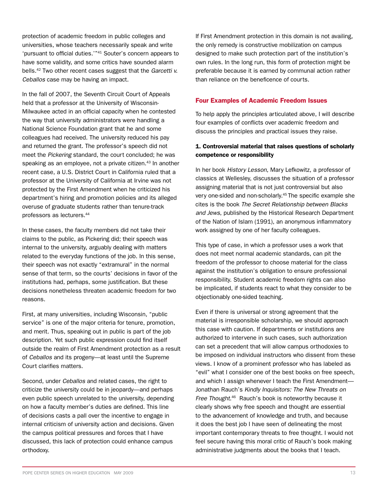protection of academic freedom in public colleges and universities, whose teachers necessarily speak and write 'pursuant to official duties.'"41 Souter's concern appears to have some validity, and some critics have sounded alarm bells.42 Two other recent cases suggest that the *Garcetti v. Ceballos* case may be having an impact.

In the fall of 2007, the Seventh Circuit Court of Appeals held that a professor at the University of Wisconsin-Milwaukee acted in an official capacity when he contested the way that university administrators were handling a National Science Foundation grant that he and some colleagues had received. The university reduced his pay and returned the grant. The professor's speech did not meet the *Pickering* standard, the court concluded; he was speaking as an employee, not a private citizen.<sup>43</sup> In another recent case, a U.S. District Court in California ruled that a professor at the University of California at Irvine was not protected by the First Amendment when he criticized his department's hiring and promotion policies and its alleged overuse of graduate students rather than tenure-track professors as lecturers.44

In these cases, the faculty members did not take their claims to the public, as Pickering did; their speech was internal to the university, arguably dealing with matters related to the everyday functions of the job. In this sense, their speech was not exactly "extramural" in the normal sense of that term, so the courts' decisions in favor of the institutions had, perhaps, some justification. But these decisions nonetheless threaten academic freedom for two reasons.

First, at many universities, including Wisconsin, "public service" is one of the major criteria for tenure, promotion, and merit. Thus, speaking out in public is part of the job description. Yet such public expression could find itself outside the realm of First Amendment protection as a result of *Ceballos* and its progeny—at least until the Supreme Court clarifies matters.

Second, under *Ceballos* and related cases, the right to criticize the university could be in jeopardy—and perhaps even public speech unrelated to the university, depending on how a faculty member's duties are defined. This line of decisions casts a pall over the incentive to engage in internal criticism of university action and decisions. Given the campus political pressures and forces that I have discussed, this lack of protection could enhance campus orthodoxy.

If First Amendment protection in this domain is not availing, the only remedy is constructive mobilization on campus designed to make such protection part of the institution's own rules. In the long run, this form of protection might be preferable because it is earned by communal action rather than reliance on the beneficence of courts.

#### Four Examples of Academic Freedom Issues

To help apply the principles articulated above, I will describe four examples of conflicts over academic freedom and discuss the principles and practical issues they raise.

#### 1. Controversial material that raises questions of scholarly competence or responsibility

In her book *History Lesson*, Mary Lefkowitz, a professor of classics at Wellesley, discusses the situation of a professor assigning material that is not just controversial but also very one-sided and non-scholarly.45 The specific example she cites is the book *The Secret Relationship between Blacks and Jews*, published by the Historical Research Department of the Nation of Islam (1991), an anonymous inflammatory work assigned by one of her faculty colleagues.

This type of case, in which a professor uses a work that does not meet normal academic standards, can pit the freedom of the professor to choose material for the class against the institution's obligation to ensure professional responsibility. Student academic freedom rights can also be implicated, if students react to what they consider to be objectionably one-sided teaching.

Even if there is universal or strong agreement that the material is irresponsible scholarship, we should approach this case with caution. If departments or institutions are authorized to intervene in such cases, such authorization can set a precedent that will allow campus orthodoxies to be imposed on individual instructors who dissent from these views. I know of a prominent professor who has labeled as "evil" what I consider one of the best books on free speech, and which I assign whenever I teach the First Amendment— Jonathan Rauch's *Kindly Inquisitors: The New Threats on*  Free Thought.<sup>46</sup> Rauch's book is noteworthy because it clearly shows why free speech and thought are essential to the advancement of knowledge and truth, and because it does the best job I have seen of delineating the most important contemporary threats to free thought. I would not feel secure having this moral critic of Rauch's book making administrative judgments about the books that I teach.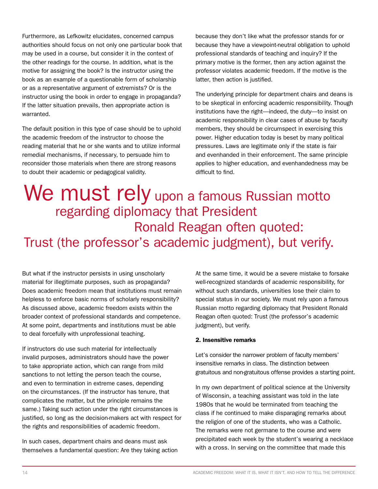Furthermore, as Lefkowitz elucidates, concerned campus authorities should focus on not only one particular book that may be used in a course, but consider it in the context of the other readings for the course. In addition, what is the motive for assigning the book? Is the instructor using the book as an example of a questionable form of scholarship or as a representative argument of extremists? Or is the instructor using the book in order to engage in propaganda? If the latter situation prevails, then appropriate action is warranted.

The default position in this type of case should be to uphold the academic freedom of the instructor to choose the reading material that he or she wants and to utilize informal remedial mechanisms, if necessary, to persuade him to reconsider those materials when there are strong reasons to doubt their academic or pedagogical validity.

because they don't like what the professor stands for or because they have a viewpoint-neutral obligation to uphold professional standards of teaching and inquiry? If the primary motive is the former, then any action against the professor violates academic freedom. If the motive is the latter, then action is justified.

The underlying principle for department chairs and deans is to be skeptical in enforcing academic responsibility. Though institutions have the right—indeed, the duty—to insist on academic responsibility in clear cases of abuse by faculty members, they should be circumspect in exercising this power. Higher education today is beset by many political pressures. Laws are legitimate only if the state is fair and evenhanded in their enforcement. The same principle applies to higher education, and evenhandedness may be difficult to find.

We must rely upon a famous Russian motto regarding diplomacy that President Ronald Reagan often quoted: Trust (the professor's academic judgment), but verify.

But what if the instructor persists in using unscholarly material for illegitimate purposes, such as propaganda? Does academic freedom mean that institutions must remain helpless to enforce basic norms of scholarly responsibility? As discussed above, academic freedom exists within the broader context of professional standards and competence. At some point, departments and institutions must be able to deal forcefully with unprofessional teaching.

If instructors do use such material for intellectually invalid purposes, administrators should have the power to take appropriate action, which can range from mild sanctions to not letting the person teach the course, and even to termination in extreme cases, depending on the circumstances. (If the instructor has tenure, that complicates the matter, but the principle remains the same.) Taking such action under the right circumstances is justified, so long as the decision-makers act with respect for the rights and responsibilities of academic freedom.

In such cases, department chairs and deans must ask themselves a fundamental question: Are they taking action At the same time, it would be a severe mistake to forsake well-recognized standards of academic responsibility, for without such standards, universities lose their claim to special status in our society. We must rely upon a famous Russian motto regarding diplomacy that President Ronald Reagan often quoted: Trust (the professor's academic judgment), but verify.

#### 2. Insensitive remarks

Let's consider the narrower problem of faculty members' insensitive remarks in class. The distinction between gratuitous and non-gratuitous offense provides a starting point.

In my own department of political science at the University of Wisconsin, a teaching assistant was told in the late 1980s that he would be terminated from teaching the class if he continued to make disparaging remarks about the religion of one of the students, who was a Catholic. The remarks were not germane to the course and were precipitated each week by the student's wearing a necklace with a cross. In serving on the committee that made this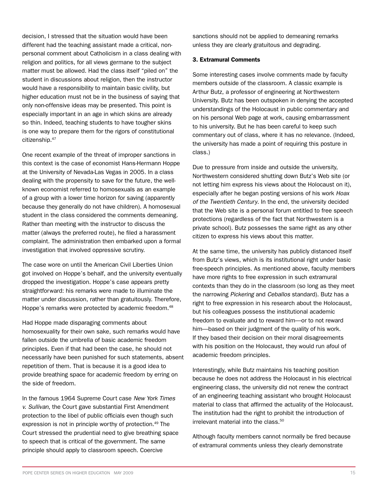student in discussions about religion, then the instructor would have a responsibility to maintain basic civility, but higher education must not be in the business of saying that only non-offensive ideas may be presented. This point is especially important in an age in which skins are already so thin. Indeed, teaching students to have tougher skins is one way to prepare them for the rigors of constitutional citizenship.47 One recent example of the threat of improper sanctions in this context is the case of economist Hans-Hermann Hoppe at the University of Nevada-Las Vegas in 2005. In a class

decision, I stressed that the situation would have been different had the teaching assistant made a critical, nonpersonal comment about Catholicism in a class dealing with religion and politics, for all views germane to the subject matter must be allowed. Had the class itself "piled on" the

dealing with the propensity to save for the future, the wellknown economist referred to homosexuals as an example of a group with a lower time horizon for saving (apparently because they generally do not have children). A homosexual student in the class considered the comments demeaning. Rather than meeting with the instructor to discuss the matter (always the preferred route), he filed a harassment complaint. The administration then embarked upon a formal investigation that involved oppressive scrutiny.

The case wore on until the American Civil Liberties Union got involved on Hoppe's behalf, and the university eventually dropped the investigation. Hoppe's case appears pretty straightforward: his remarks were made to illuminate the matter under discussion, rather than gratuitously. Therefore, Hoppe's remarks were protected by academic freedom.<sup>48</sup>

Had Hoppe made disparaging comments about homosexuality for their own sake, such remarks would have fallen outside the umbrella of basic academic freedom principles. Even if that had been the case, he should not necessarily have been punished for such statements, absent repetition of them. That is because it is a good idea to provide breathing space for academic freedom by erring on the side of freedom.

In the famous 1964 Supreme Court case *New York Times v. Sullivan*, the Court gave substantial First Amendment protection to the libel of public officials even though such expression is not in principle worthy of protection.<sup>49</sup> The Court stressed the prudential need to give breathing space to speech that is critical of the government. The same principle should apply to classroom speech. Coercive

sanctions should not be applied to demeaning remarks unless they are clearly gratuitous and degrading.

#### 3. Extramural Comments

Some interesting cases involve comments made by faculty members outside of the classroom. A classic example is Arthur Butz, a professor of engineering at Northwestern University. Butz has been outspoken in denying the accepted understandings of the Holocaust in public commentary and on his personal Web page at work, causing embarrassment to his university. But he has been careful to keep such commentary out of class, where it has no relevance. (Indeed, the university has made a point of requiring this posture in class.)

Due to pressure from inside and outside the university, Northwestern considered shutting down Butz's Web site (or not letting him express his views about the Holocaust on it), especially after he began posting versions of his work *Hoax of the Twentieth Century*. In the end, the university decided that the Web site is a personal forum entitled to free speech protections (regardless of the fact that Northwestern is a private school). Butz possesses the same right as any other citizen to express his views about this matter.

At the same time, the university has publicly distanced itself from Butz's views, which is its institutional right under basic free-speech principles. As mentioned above, faculty members have more rights to free expression in such extramural contexts than they do in the classroom (so long as they meet the narrowing *Pickering* and *Ceballos* standard). Butz has a right to free expression in his research about the Holocaust, but his colleagues possess the institutional academic freedom to evaluate and to reward him—or to not reward him—based on their judgment of the quality of his work. If they based their decision on their moral disagreements with his position on the Holocaust, they would run afoul of academic freedom principles.

Interestingly, while Butz maintains his teaching position because he does not address the Holocaust in his electrical engineering class, the university did not renew the contract of an engineering teaching assistant who brought Holocaust material to class that affirmed the actuality of the Holocaust. The institution had the right to prohibit the introduction of irrelevant material into the class.<sup>50</sup>

Although faculty members cannot normally be fired because of extramural comments unless they clearly demonstrate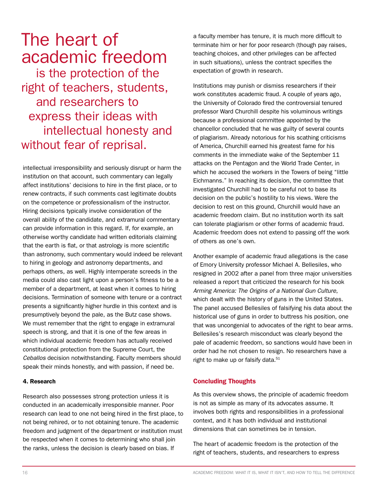## The heart of academic freedom

 is the protection of the right of teachers, students, and researchers to express their ideas with intellectual honesty and without fear of reprisal.

intellectual irresponsibility and seriously disrupt or harm the institution on that account, such commentary can legally affect institutions' decisions to hire in the first place, or to renew contracts, if such comments cast legitimate doubts on the competence or professionalism of the instructor. Hiring decisions typically involve consideration of the overall ability of the candidate, and extramural commentary can provide information in this regard. If, for example, an otherwise worthy candidate had written editorials claiming that the earth is flat, or that astrology is more scientific than astronomy, such commentary would indeed be relevant to hiring in geology and astronomy departments, and perhaps others, as well. Highly intemperate screeds in the media could also cast light upon a person's fitness to be a member of a department, at least when it comes to hiring decisions. Termination of someone with tenure or a contract presents a significantly higher hurdle in this context and is presumptively beyond the pale, as the Butz case shows. We must remember that the right to engage in extramural speech is strong, and that it is one of the few areas in which individual academic freedom has actually received constitutional protection from the Supreme Court, the *Ceballos* decision notwithstanding. Faculty members should speak their minds honestly, and with passion, if need be.

#### 4. Research

Research also possesses strong protection unless it is conducted in an academically irresponsible manner. Poor research can lead to one not being hired in the first place, to not being rehired, or to not obtaining tenure. The academic freedom and judgment of the department or institution must be respected when it comes to determining who shall join the ranks, unless the decision is clearly based on bias. If

a faculty member has tenure, it is much more difficult to terminate him or her for poor research (though pay raises, teaching choices, and other privileges can be affected in such situations), unless the contract specifies the expectation of growth in research.

Institutions may punish or dismiss researchers if their work constitutes academic fraud. A couple of years ago, the University of Colorado fired the controversial tenured professor Ward Churchill despite his voluminous writings because a professional committee appointed by the chancellor concluded that he was guilty of several counts of plagiarism. Already notorious for his scathing criticisms of America, Churchill earned his greatest fame for his comments in the immediate wake of the September 11 attacks on the Pentagon and the World Trade Center, in which he accused the workers in the Towers of being "little Eichmanns." In reaching its decision, the committee that investigated Churchill had to be careful not to base its decision on the public's hostility to his views. Were the decision to rest on this ground, Churchill would have an academic freedom claim. But no institution worth its salt can tolerate plagiarism or other forms of academic fraud. Academic freedom does not extend to passing off the work of others as one's own.

Another example of academic fraud allegations is the case of Emory University professor Michael A. Bellesiles, who resigned in 2002 after a panel from three major universities released a report that criticized the research for his book *Arming America: The Origins of a National Gun Culture*, which dealt with the history of guns in the United States. The panel accused Bellesiles of falsifying his data about the historical use of guns in order to buttress his position, one that was uncongenial to advocates of the right to bear arms. Bellesiles's research misconduct was clearly beyond the pale of academic freedom, so sanctions would have been in order had he not chosen to resign. No researchers have a right to make up or falsify data.<sup>51</sup>

#### Concluding Thoughts

As this overview shows, the principle of academic freedom is not as simple as many of its advocates assume. It involves both rights and responsibilities in a professional context, and it has both individual and institutional dimensions that can sometimes be in tension.

The heart of academic freedom is the protection of the right of teachers, students, and researchers to express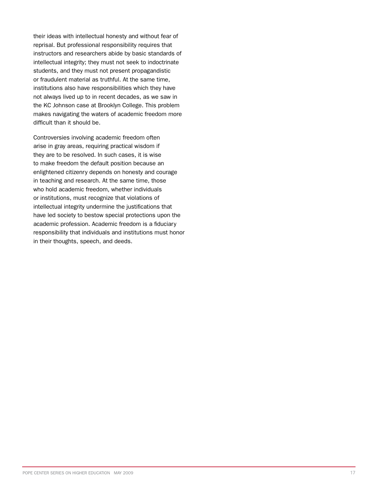their ideas with intellectual honesty and without fear of reprisal. But professional responsibility requires that instructors and researchers abide by basic standards of intellectual integrity; they must not seek to indoctrinate students, and they must not present propagandistic or fraudulent material as truthful. At the same time, institutions also have responsibilities which they have not always lived up to in recent decades, as we saw in the KC Johnson case at Brooklyn College. This problem makes navigating the waters of academic freedom more difficult than it should be.

Controversies involving academic freedom often arise in gray areas, requiring practical wisdom if they are to be resolved. In such cases, it is wise to make freedom the default position because an enlightened citizenry depends on honesty and courage in teaching and research. At the same time, those who hold academic freedom, whether individuals or institutions, must recognize that violations of intellectual integrity undermine the justifications that have led society to bestow special protections upon the academic profession. Academic freedom is a fiduciary responsibility that individuals and institutions must honor in their thoughts, speech, and deeds.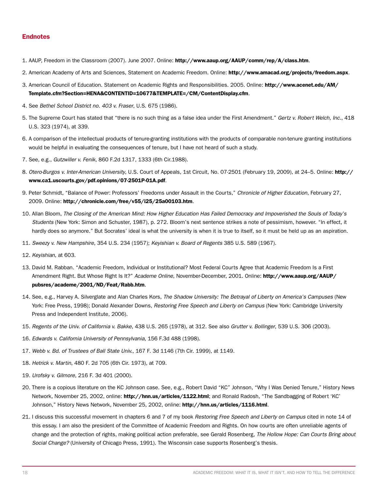#### Endnotes

- 1. AAUP, Freedom in the Classroom (2007). June 2007. Online: http://www.aaup.org/AAUP/comm/rep/A/class.htm.
- 2. American Academy of Arts and Sciences, Statement on Academic Freedom. Online: http://www.amacad.org/projects/freedom.aspx.
- 3. American Council of Education. Statement on Academic Rights and Responsibilities. 2005. Online: http://www.acenet.edu/AM/ Template.cfm?Section=HENA&CONTENTID=10677&TEMPLATE=/CM/ContentDisplay.cfm.
- 4. See *Bethel School District no. 403 v. Fraser*, U.S. 675 (1986).
- 5. The Supreme Court has stated that "there is no such thing as a false idea under the First Amendment." *Gertz v. Robert Welch, Inc.*, 418 U.S. 323 (1974), at 339.
- 6. A comparison of the intellectual products of tenure-granting institutions with the products of comparable non-tenure granting institutions would be helpful in evaluating the consequences of tenure, but I have not heard of such a study.
- 7. See, e.g., *Gutzwiller v. Fenik*, 860 F.2d 1317, 1333 (6th Cir.1988).
- 8. *Otero-Burgos v. Inter-American University*, U.S. Court of Appeals, 1st Circuit, No. 07-2501 (February 19, 2009), at 24–5. Online: http:// www.ca1.uscourts.gov/pdf.opinions/07-2501P-01A.pdf.
- 9. Peter Schmidt, "Balance of Power: Professors' Freedoms under Assault in the Courts," *Chronicle of Higher Education*, February 27, 2009. Online: http://chronicle.com/free/v55/i25/25a00103.htm.
- 10. Allan Bloom, *The Closing of the American Mind: How Higher Education Has Failed Democracy and Impoverished the Souls of Today's Students* (New York: Simon and Schuster, 1987), p. 272. Bloom's next sentence strikes a note of pessimism, however. "In effect, it hardly does so anymore." But Socrates' ideal is what the university is when it is true to itself, so it must be held up as an aspiration.
- 11. *Sweezy v. New Hampshire*, 354 U.S. 234 (1957); *Keyishian v. Board of Regents* 385 U.S. 589 (1967).
- 12. *Keyishian*, at 603.
- 13. David M. Rabban. "Academic Freedom, Individual or Institutional? Most Federal Courts Agree that Academic Freedom Is a First Amendment Right. But Whose Right Is It?" *Academe Online*, November-December, 2001. Online: http://www.aaup.org/AAUP/ pubsres/academe/2001/ND/Feat/Rabb.htm.
- 14. See, e.g., Harvey A. Silverglate and Alan Charles Kors, *The Shadow University: The Betrayal of Liberty on America's Campuses* (New York: Free Press, 1998); Donald Alexander Downs, *Restoring Free Speech and Liberty on Campus* (New York: Cambridge University Press and Independent Institute, 2006).
- 15. *Regents of the Univ. of California v. Bakke*, 438 U.S. 265 (1978), at 312. See also *Grutter v. Bollinger*, 539 U.S. 306 (2003).
- 16. *Edwards v. California University of Pennsylvania*, 156 F.3d 488 (1998).
- 17. *Webb v. Bd. of Trustees of Ball State Univ.*, 167 F. 3d 1146 (7th Cir. 1999), at 1149.
- 18. *Hetrick v. Martin*, 480 F. 2d 705 (6th Cir. 1973), at 709.
- 19. *Urofsky v. Gilmore*, 216 F. 3d 401 (2000).
- 20. There is a copious literature on the KC Johnson case. See, e.g., Robert David "KC" Johnson, "Why I Was Denied Tenure," History News Network, November 25, 2002, online: http://hnn.us/articles/1122.html; and Ronald Radosh, "The Sandbagging of Robert 'KC' Johnson," History News Network, November 25, 2002, online: http://hnn.us/articles/1116.html.
- 21. I discuss this successful movement in chapters 6 and 7 of my book *Restoring Free Speech and Liberty on Campus* cited in note 14 of this essay. I am also the president of the Committee of Academic Freedom and Rights. On how courts are often unreliable agents of change and the protection of rights, making political action preferable, see Gerald Rosenberg, *The Hollow Hope: Can Courts Bring about Social Change?* (University of Chicago Press, 1991). The Wisconsin case supports Rosenberg's thesis.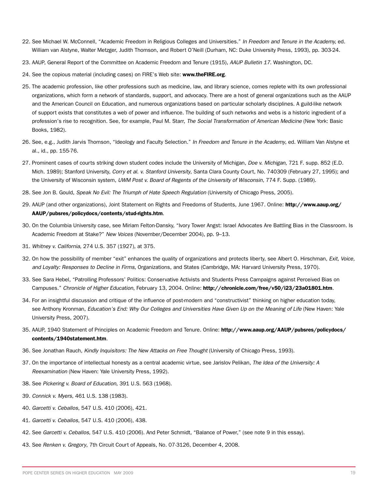- 22. See Michael W. McConnell, "Academic Freedom in Religious Colleges and Universities." *In Freedom and Tenure in the Academy,* ed. William van Alstyne, Walter Metzger, Judith Thomson, and Robert O'Neill (Durham, NC: Duke University Press, 1993), pp. 303-24.
- 23. AAUP, General Report of the Committee on Academic Freedom and Tenure (1915), *AAUP Bulletin 17*. Washington, DC.
- 24. See the copious material (including cases) on FIRE's Web site: www.theFIRE.org.
- 25. The academic profession, like other professions such as medicine, law, and library science, comes replete with its own professional organizations, which form a network of standards, support, and advocacy. There are a host of general organizations such as the AAUP and the American Council on Education, and numerous organizations based on particular scholarly disciplines. A guild-like network of support exists that constitutes a web of power and influence. The building of such networks and webs is a historic ingredient of a profession's rise to recognition. See, for example, Paul M. Starr, *The Social Transformation of American Medicine* (New York: Basic Books, 1982).
- 26. See, e.g., Judith Jarvis Thomson, "Ideology and Faculty Selection." *In Freedom and Tenure in the Academy*, ed. William Van Alstyne et al., id., pp. 155-76.
- 27. Prominent cases of courts striking down student codes include the University of Michigan, *Doe v. Michigan*, 721 F. supp. 852 (E.D. Mich. 1989); Stanford University, *Corry et al. v. Stanford University*, Santa Clara County Court, No. 740309 (February 27, 1995); and the University of Wisconsin system, *UWM Post v. Board of Regents of the University of Wisconsin*, 774 F. Supp. (1989).
- 28. See Jon B. Gould, *Speak No Evil: The Triumph of Hate Speech Regulation* (University of Chicago Press, 2005).
- 29. AAUP (and other organizations), Joint Statement on Rights and Freedoms of Students, June 1967. Online: http://www.aaup.org/ AAUP/pubsres/policydocs/contents/stud-rights.htm.
- 30. On the Columbia University case, see Miriam Felton-Dansky, "Ivory Tower Angst: Israel Advocates Are Battling Bias in the Classroom. Is Academic Freedom at Stake?" *New Voices* (November/December 2004), pp. 9–13.
- 31. *Whitney v. California*, 274 U.S. 357 (1927), at 375.
- 32. On how the possibility of member "exit" enhances the quality of organizations and protects liberty, see Albert O. Hirschman, *Exit, Voice, and Loyalty: Responses to Decline in Firms*, Organizations, and States (Cambridge, MA: Harvard University Press, 1970).
- 33. See Sara Hebel, "Patrolling Professors' Politics: Conservative Activists and Students Press Campaigns against Perceived Bias on Campuses." *Chronicle of Higher Education*, February 13, 2004. Online: http://chronicle.com/free/v50/i23/23a01801.htm.
- 34. For an insightful discussion and critique of the influence of post-modern and "constructivist" thinking on higher education today, see Anthony Kronman, *Education's End: Why Our Colleges and Universities Have Given Up on the Meaning of Life* (New Haven: Yale University Press, 2007).
- 35. AAUP, 1940 Statement of Principles on Academic Freedom and Tenure. Online: http://www.aaup.org/AAUP/pubsres/policydocs/ contents/1940statement.htm.
- 36. See Jonathan Rauch, *Kindly Inquisitors: The New Attacks on Free Thought* (University of Chicago Press, 1993).
- 37. On the importance of intellectual honesty as a central academic virtue, see Jarislov Pelikan, *The Idea of the University: A Reexamination* (New Haven: Yale University Press, 1992).
- 38. See *Pickering v. Board of Education*, 391 U.S. 563 (1968).
- 39. *Connick v. Myers*, 461 U.S. 138 (1983).
- 40. *Garcetti v. Ceballos*, 547 U.S. 410 (2006), 421.
- 41. *Garcetti v. Ceballos*, 547 U.S. 410 (2006), 438.
- 42. See *Garcetti v. Ceballos*, 547 U.S. 410 (2006). And Peter Schmidt, "Balance of Power," (see note 9 in this essay).
- 43. See *Renken v. Gregory*, 7th Circuit Court of Appeals, No. 07-3126, December 4, 2008.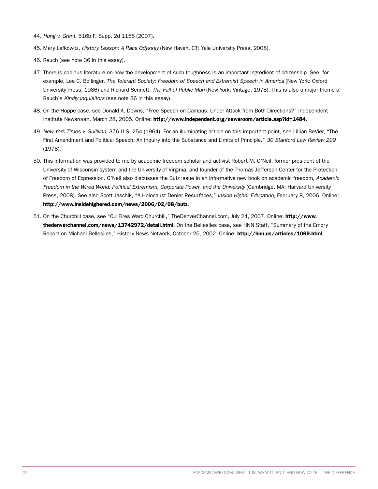- 44. *Hong v. Grant*, 516b F. Supp. 2d 1158 (2007).
- 45. Mary Lefkowitz, *History Lesson: A Race Odyssey* (New Haven, CT: Yale University Press, 2008).
- 46. Rauch (see note 36 in this essay).
- 47. There is copious literature on how the development of such toughness is an important ingredient of citizenship. See, for example, Lee C. Bollinger, *The Tolerant Society: Freedom of Speech and Extremist Speech in America* (New York: Oxford University Press, 1986) and Richard Sennett, *The Fall of Public Man* (New York: Vintage, 1978). This is also a major theme of Rauch's *Kindly Inquisitors* (see note 36 in this essay).
- 48. On the Hoppe case, see Donald A. Downs, "Free Speech on Campus: Under Attack from Both Directions?" Independent Institute Newsroom, March 28, 2005. Online: http://www.independent.org/newsroom/article.asp?id=1484.
- 49. *New York Times v. Sullivan*, 376 U.S. 254 (1964). For an illuminating article on this important point, see Lillian BeVier, "The First Amendment and Political Speech: An Inquiry into the Substance and Limits of Principle." *30 Stanford Law Review 299* (1978).
- 50. This information was provided to me by academic freedom scholar and activist Robert M. O'Neil, former president of the University of Wisconsin system and the University of Virginia, and founder of the Thomas Jefferson Center for the Protection of Freedom of Expression. O'Neil also discusses the Butz issue in an informative new book on academic freedom, *Academic Freedom in the Wired World: Political Extremism, Corporate Power, and the University* (Cambridge, MA: Harvard University Press, 2008). See also Scott Jaschik, "A Holocaust Denier Resurfaces," *Inside Higher Education*, February 8, 2006. Online: http://www.insidehighered.com/news/2006/02/08/butz.
- 51. On the Churchill case, see "CU Fires Ward Churchill," TheDenverChannel.com, July 24, 2007. Online: http://www. thedenverchannel.com/news/13742972/detail.html. On the Bellesiles case, see HNN Staff, "Summary of the Emory Report on Michael Bellesiles," History News Network, October 25, 2002. Online: http://hnn.us/articles/1069.html.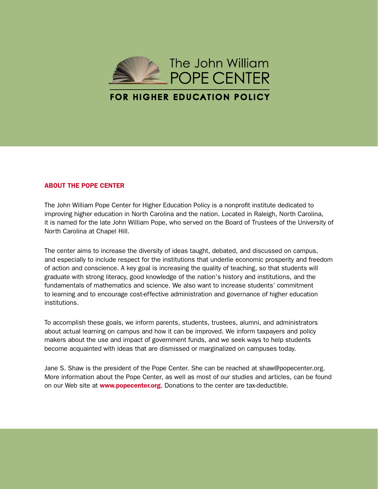

#### ABOUT THE POPE CENTER

The John William Pope Center for Higher Education Policy is a nonprofit institute dedicated to improving higher education in North Carolina and the nation. Located in Raleigh, North Carolina, it is named for the late John William Pope, who served on the Board of Trustees of the University of North Carolina at Chapel Hill.

The center aims to increase the diversity of ideas taught, debated, and discussed on campus, and especially to include respect for the institutions that underlie economic prosperity and freedom of action and conscience. A key goal is increasing the quality of teaching, so that students will graduate with strong literacy, good knowledge of the nation's history and institutions, and the fundamentals of mathematics and science. We also want to increase students' commitment to learning and to encourage cost-effective administration and governance of higher education institutions.

To accomplish these goals, we inform parents, students, trustees, alumni, and administrators about actual learning on campus and how it can be improved. We inform taxpayers and policy makers about the use and impact of government funds, and we seek ways to help students become acquainted with ideas that are dismissed or marginalized on campuses today.

Jane S. Shaw is the president of the Pope Center. She can be reached at shaw@popecenter.org. More information about the Pope Center, as well as most of our studies and articles, can be found on our Web site at **www.popecenter.org**. Donations to the center are tax-deductible.